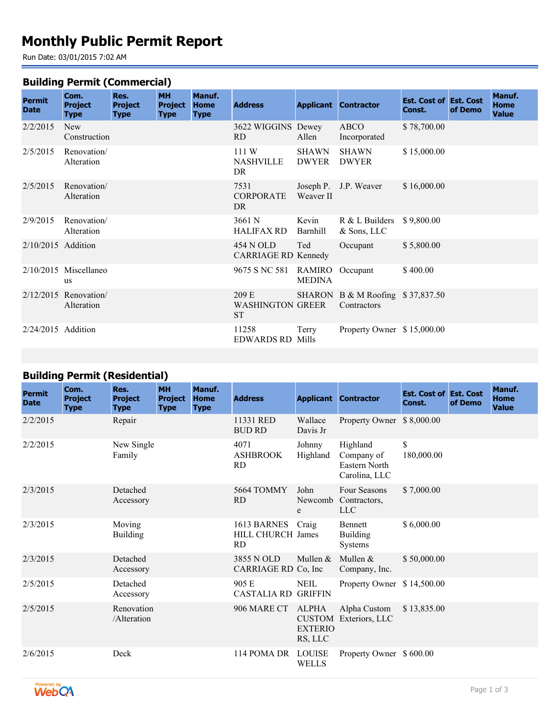# **Monthly Public Permit Report**

Run Date: 03/01/2015 7:02 AM

#### **Building Permit (Commercial)**

| <b>Permit</b><br><b>Date</b> | Com.<br><b>Project</b><br><b>Type</b> | Res.<br><b>Project</b><br><b>Type</b> | <b>MH</b><br><b>Project</b><br><b>Type</b> | Manuf.<br><b>Home</b><br><b>Type</b> | <b>Address</b>                         |                              | <b>Applicant Contractor</b>                     | <b>Est. Cost of Est. Cost</b><br>Const. | of Demo | Manuf.<br><b>Home</b><br><b>Value</b> |
|------------------------------|---------------------------------------|---------------------------------------|--------------------------------------------|--------------------------------------|----------------------------------------|------------------------------|-------------------------------------------------|-----------------------------------------|---------|---------------------------------------|
| 2/2/2015                     | <b>New</b><br>Construction            |                                       |                                            |                                      | 3622 WIGGINS Dewey<br>RD               | Allen                        | ABCO<br>Incorporated                            | \$78,700.00                             |         |                                       |
| 2/5/2015                     | Renovation/<br>Alteration             |                                       |                                            |                                      | 111W<br>NASHVILLE<br>DR                | <b>SHAWN</b><br><b>DWYER</b> | <b>SHAWN</b><br><b>DWYER</b>                    | \$15,000.00                             |         |                                       |
| 2/5/2015                     | Renovation/<br>Alteration             |                                       |                                            |                                      | 7531<br><b>CORPORATE</b><br>DR         | Weaver II                    | Joseph P. J.P. Weaver                           | \$16,000.00                             |         |                                       |
| 2/9/2015                     | Renovation/<br>Alteration             |                                       |                                            |                                      | 3661 N<br><b>HALIFAX RD</b>            | Kevin<br>Barnhill            | $R & L$ Builders<br>$&$ Sons, LLC               | \$9,800.00                              |         |                                       |
| $2/10/2015$ Addition         |                                       |                                       |                                            |                                      | 454 N OLD<br>CARRIAGE RD Kennedy       | Ted                          | Occupant                                        | \$5,800.00                              |         |                                       |
|                              | $2/10/2015$ Miscellaneo<br><b>us</b>  |                                       |                                            |                                      | 9675 S NC 581 RAMIRO Occupant          | <b>MEDINA</b>                |                                                 | \$400.00                                |         |                                       |
|                              | $2/12/2015$ Renovation<br>Alteration  |                                       |                                            |                                      | 209 E<br><b>WASHINGTON GREER</b><br>ST |                              | SHARON B & M Roofing \$37,837.50<br>Contractors |                                         |         |                                       |
| $2/24/2015$ Addition         |                                       |                                       |                                            |                                      | 11258<br><b>EDWARDS RD Mills</b>       | Terry                        | Property Owner \$15,000.00                      |                                         |         |                                       |

## **Building Permit (Residential)**

| <b>Permit</b><br><b>Date</b> | Com.<br><b>Project</b><br><b>Type</b> | Res.<br><b>Project</b><br><b>Type</b> | <b>MH</b><br><b>Project</b><br><b>Type</b> | Manuf.<br>Home<br><b>Type</b> | <b>Address</b>                                |                                           | <b>Applicant Contractor</b>                              | <b>Est. Cost of Est. Cost</b><br>Const. | of Demo | Manuf.<br>Home<br><b>Value</b> |
|------------------------------|---------------------------------------|---------------------------------------|--------------------------------------------|-------------------------------|-----------------------------------------------|-------------------------------------------|----------------------------------------------------------|-----------------------------------------|---------|--------------------------------|
| 2/2/2015                     |                                       | Repair                                |                                            |                               | 11331 RED<br><b>BUD RD</b>                    | Wallace<br>Davis Jr                       | Property Owner \$8,000.00                                |                                         |         |                                |
| 2/2/2015                     |                                       | New Single<br>Family                  |                                            |                               | 4071<br><b>ASHBROOK</b><br><b>RD</b>          | Johnny<br>Highland                        | Highland<br>Company of<br>Eastern North<br>Carolina, LLC | \$<br>180,000.00                        |         |                                |
| 2/3/2015                     |                                       | Detached<br>Accessory                 |                                            |                               | 5664 TOMMY<br><b>RD</b>                       | John<br>Newcomb<br>e                      | <b>Four Seasons</b><br>Contractors,<br><b>LLC</b>        | \$7,000.00                              |         |                                |
| 2/3/2015                     |                                       | Moving<br><b>Building</b>             |                                            |                               | 1613 BARNES<br>HILL CHURCH James<br><b>RD</b> | Craig                                     | <b>Bennett</b><br><b>Building</b><br><b>Systems</b>      | \$6,000.00                              |         |                                |
| 2/3/2015                     |                                       | Detached<br>Accessory                 |                                            |                               | 3855 N OLD<br>CARRIAGE RD Co, Inc.            | Mullen &                                  | Mullen $&$<br>Company, Inc.                              | \$50,000.00                             |         |                                |
| 2/5/2015                     |                                       | Detached<br>Accessory                 |                                            |                               | 905 E<br><b>CASTALIA RD GRIFFIN</b>           | <b>NEIL</b>                               | Property Owner \$14,500.00                               |                                         |         |                                |
| 2/5/2015                     |                                       | Renovation<br>/Alteration             |                                            |                               | 906 MARE CT                                   | <b>ALPHA</b><br><b>EXTERIO</b><br>RS, LLC | Alpha Custom<br><b>CUSTOM</b> Exteriors, LLC             | \$13,835.00                             |         |                                |
| 2/6/2015                     |                                       | Deck                                  |                                            |                               | 114 POMA DR                                   | <b>LOUISE</b><br><b>WELLS</b>             | Property Owner \$600.00                                  |                                         |         |                                |

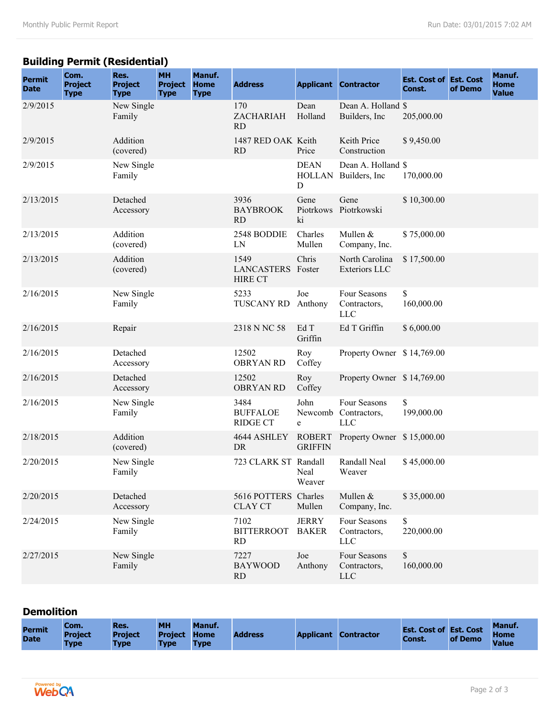## **Building Permit (Residential)**

| <b>Permit</b><br><b>Date</b> | Com.<br>Project<br><b>Type</b> | Res.<br><b>Project</b><br><b>Type</b> | <b>MH</b><br><b>Project</b><br><b>Type</b> | Manuf.<br><b>Home</b><br><b>Type</b> | <b>Address</b>                              |                                 | <b>Applicant Contractor</b>                 | <b>Est. Cost of Est. Cost</b><br>Const. | of Demo | Manuf.<br><b>Home</b><br><b>Value</b> |
|------------------------------|--------------------------------|---------------------------------------|--------------------------------------------|--------------------------------------|---------------------------------------------|---------------------------------|---------------------------------------------|-----------------------------------------|---------|---------------------------------------|
| 2/9/2015                     |                                | New Single<br>Family                  |                                            |                                      | 170<br>ZACHARIAH<br>RD                      | Dean<br>Holland                 | Dean A. Holland \$<br>Builders, Inc.        | 205,000.00                              |         |                                       |
| 2/9/2015                     |                                | Addition<br>(covered)                 |                                            |                                      | 1487 RED OAK Keith<br><b>RD</b>             | Price                           | Keith Price<br>Construction                 | \$9,450.00                              |         |                                       |
| 2/9/2015                     |                                | New Single<br>Family                  |                                            |                                      |                                             | <b>DEAN</b><br>D                | Dean A. Holland \$<br>HOLLAN Builders, Inc. | 170,000.00                              |         |                                       |
| 2/13/2015                    |                                | Detached<br>Accessory                 |                                            |                                      | 3936<br><b>BAYBROOK</b><br><b>RD</b>        | Gene<br>ki                      | Gene<br>Piotrkows Piotrkowski               | \$10,300.00                             |         |                                       |
| 2/13/2015                    |                                | Addition<br>(covered)                 |                                            |                                      | 2548 BODDIE<br>LN                           | Charles<br>Mullen               | Mullen &<br>Company, Inc.                   | \$75,000.00                             |         |                                       |
| 2/13/2015                    |                                | Addition<br>(covered)                 |                                            |                                      | 1549<br>LANCASTERS Foster<br><b>HIRE CT</b> | Chris                           | North Carolina<br><b>Exteriors LLC</b>      | \$17,500.00                             |         |                                       |
| 2/16/2015                    |                                | New Single<br>Family                  |                                            |                                      | 5233<br><b>TUSCANY RD</b>                   | Joe<br>Anthony                  | Four Seasons<br>Contractors,<br><b>LLC</b>  | \$<br>160,000.00                        |         |                                       |
| 2/16/2015                    |                                | Repair                                |                                            |                                      | 2318 N NC 58                                | Ed T<br>Griffin                 | Ed T Griffin                                | \$6,000.00                              |         |                                       |
| 2/16/2015                    |                                | Detached<br>Accessory                 |                                            |                                      | 12502<br><b>OBRYAN RD</b>                   | Roy<br>Coffey                   | Property Owner \$14,769.00                  |                                         |         |                                       |
| 2/16/2015                    |                                | Detached<br>Accessory                 |                                            |                                      | 12502<br><b>OBRYAN RD</b>                   | Roy<br>Coffey                   | Property Owner \$14,769.00                  |                                         |         |                                       |
| 2/16/2015                    |                                | New Single<br>Family                  |                                            |                                      | 3484<br><b>BUFFALOE</b><br><b>RIDGE CT</b>  | John<br>Newcomb<br>e            | Four Seasons<br>Contractors,<br><b>LLC</b>  | \$<br>199,000.00                        |         |                                       |
| 2/18/2015                    |                                | Addition<br>(covered)                 |                                            |                                      | 4644 ASHLEY<br>DR                           | <b>ROBERT</b><br><b>GRIFFIN</b> | Property Owner \$15,000.00                  |                                         |         |                                       |
| 2/20/2015                    |                                | New Single<br>Family                  |                                            |                                      | 723 CLARK ST Randall                        | Neal<br>Weaver                  | Randall Neal<br>Weaver                      | \$45,000.00                             |         |                                       |
| 2/20/2015                    |                                | Detached<br>Accessory                 |                                            |                                      | 5616 POTTERS<br><b>CLAY CT</b>              | Charles<br>Mullen               | Mullen &<br>Company, Inc.                   | \$35,000.00                             |         |                                       |
| 2/24/2015                    |                                | New Single<br>Family                  |                                            |                                      | 7102<br><b>BITTERROOT</b><br><b>RD</b>      | <b>JERRY</b><br><b>BAKER</b>    | Four Seasons<br>Contractors,<br><b>LLC</b>  | \$<br>220,000.00                        |         |                                       |
| 2/27/2015                    |                                | New Single<br>Family                  |                                            |                                      | 7227<br><b>BAYWOOD</b><br>RD                | Joe<br>Anthony                  | Four Seasons<br>Contractors,<br>LLC         | $\mathbb{S}$<br>160,000.00              |         |                                       |

## **Demolition**

| <b>Permit</b><br><b>Date</b> | Com.<br><b>Project</b><br><b>Type</b> | <b>IRes.</b><br><b>Project</b><br><b>Type</b> | <b>MH</b><br><b>Project Home</b><br><b>Type</b> | <b>Manuf.</b><br><b>Type</b> | <b>Address</b> |  | <b>Applicant Contractor</b> | <b>Est. Cost of Est. Cost Home</b><br>Const. | of Demo | Manuf.<br>Value |
|------------------------------|---------------------------------------|-----------------------------------------------|-------------------------------------------------|------------------------------|----------------|--|-----------------------------|----------------------------------------------|---------|-----------------|
|------------------------------|---------------------------------------|-----------------------------------------------|-------------------------------------------------|------------------------------|----------------|--|-----------------------------|----------------------------------------------|---------|-----------------|